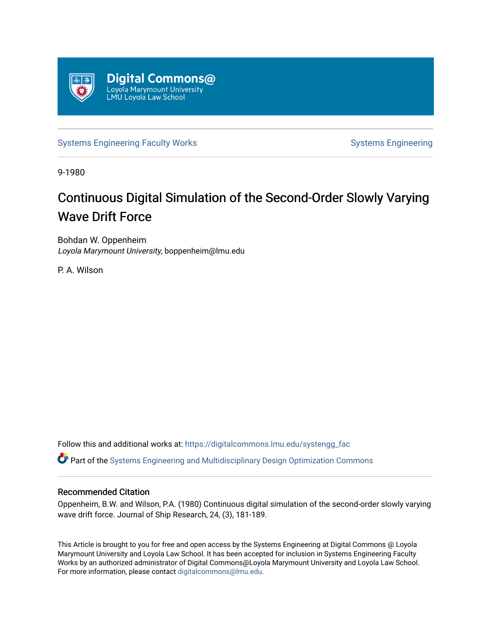

[Systems Engineering Faculty Works](https://digitalcommons.lmu.edu/systengg_fac) [Systems Engineering](https://digitalcommons.lmu.edu/systengg) Systems Engineering

9-1980

# Continuous Digital Simulation of the Second-Order Slowly Varying **Wave Drift Force**

Bohdan W. Oppenheim Loyola Marymount University, boppenheim@lmu.edu

P. A. Wilson

Follow this and additional works at: [https://digitalcommons.lmu.edu/systengg\\_fac](https://digitalcommons.lmu.edu/systengg_fac?utm_source=digitalcommons.lmu.edu%2Fsystengg_fac%2F14&utm_medium=PDF&utm_campaign=PDFCoverPages) 

Part of the [Systems Engineering and Multidisciplinary Design Optimization Commons](http://network.bepress.com/hgg/discipline/221?utm_source=digitalcommons.lmu.edu%2Fsystengg_fac%2F14&utm_medium=PDF&utm_campaign=PDFCoverPages) 

# Recommended Citation

Oppenheim, B.W. and Wilson, P.A. (1980) Continuous digital simulation of the second-order slowly varying wave drift force. Journal of Ship Research, 24, (3), 181-189.

This Article is brought to you for free and open access by the Systems Engineering at Digital Commons @ Loyola Marymount University and Loyola Law School. It has been accepted for inclusion in Systems Engineering Faculty Works by an authorized administrator of Digital Commons@Loyola Marymount University and Loyola Law School. For more information, please contact [digitalcommons@lmu.edu.](mailto:digitalcommons@lmu.edu)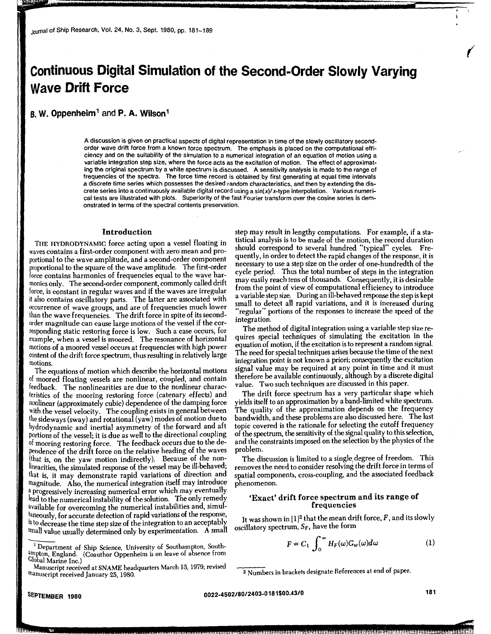# **Continuous Digital Simulation of the Second-Order Slowly Varying Wave Drift Force**

# **B. W. Oppenheim** 1 and **P. A. Wilson** <sup>1</sup>

A discussion is given on practical aspects of digital representation in time of the slowly oscillatory secondorder wave drift force from a known force spectrum. The emphasis is placed on the computational efficiency and on the suitability of the simulation to a numerical integration of an equation of motion using a variable integration step size, where the force acts as the excitation of motion. The effect of approximating the original spectrum by a white spectrum is discussed. A sensitivity analysis is made to the range of frequencies of the spectra. The force time record is obtained by first generating at equal time intervals a discrete time series which possesses the desired random characteristics, and then by extending the discrete series into a continuously available digital record using a sin(x)/x-type interpolation. Various numerical tests are illustrated with plots. Superiority of the fast Fourier trans form over the cosine series is demonstrated in terms of the spectral contents preservation.

#### **Introduction**

THE HYDRODYNAMIC force acting upon a vessel floating **in**  waves contains a first-order component with zero mean and proportional to the wave amplitude, and a second-order component proportional to the square of the wave amplitude. The first-order force contains harmonics of frequencies equal to the wave harmonics only. The second-order component, commonly called drift force, is constant in regular waves and if the waves are irregular it also contains oscillatory parts. The latter are associated with occurrence of wave groups, and are of frequencies much lower than the wave frequencies. The drift force in spite of its secondorder magnitude can cause large motions of the vessel if the corresponding static restoring force is low. Such a case occurs, for example, when a vessel is moored. The resonance of horizontal motions of a moored vessel occurs at frequencies with high power content of the drift force spectrum, thus resulting in relatively large motions.

The equations of motion which describe the horizontal motions of moored floating vessels are nonlinear, coupled, and contain feedback. The nonlinearities are due to the nonlinear characteristics of the mooring restoring force (catenary effects) and nonlinear (approximately cubic) dependence of the damping force with the vessel velocity. The coupling exists in general between the sideways (sway) and rotational (yaw) modes of motion due to hydrodynamic and inertial asymmetry of the forward and aft portions of the vessel; it is due as well to the directional coupling of mooring restoring force. The feedback occurs due to the dependence of the drift force on the relative heading of the waves (that is, on the yaw motion indirectly). Because of the noninearities, the simulated response of the vessel may be ill-behaved; that is, it may demonstrate rapid variations of direction and magnitude. Also, the numerical integration itself may introduce lead to the numerical instability of the solution. The only remedy a progressively increasing numerical error which may eventually available for overcoming the numerical instabilities and, simul taneously, for accurate detection of rapid variations of the response, is to decrease the time step size of the integration to an acceptably small value usually determined only by experimentation. A small <sup>15</sup> to decrease the time step size of the integration to an acceptably small value usually determined only by experimentation. A small  $\overline{1}$  Department of Ship Science, University of Southampton, Southampton, England.

Manuscript received at SNAME headquarters March 13, 1979; revised rnanuscript received January 25, 1980.

step may result in lengthy computations. For example, if a statistical analysis is to be made of the motion, the record duration should correspond to several hundred "typical" cycles. Frequently, in order to detect the rapid changes of the response, it is necessary to use a step size on the order of one-hundredth of the cycle period. Thus the total number of steps in the integration may easily reach tens of thousands. Consequently, it is desirable from the point of view of computational efficiency to introduce a variable step size. During an ill-behaved response the step is kept small to detect all rapid variations, and it is increased during "regular" portions of the responses to increase the speed of the integration.

The method of digital integration using a variable step size requires special techniques of simulating the excitation in the equation of motion, if the excitation is to represent a random signal. The need for special techniques arises because the time of the next integration point is not known a priori; consequently the excitation signal value may be required at any point in time and it must therefore be available continuously, although by a discrete digital value. Two such techniques are discussed in this paper.

The drift force spectrum has a very particular shape which yields itself to an approximation by a band-limited white spectrum. The quality of the approximation depends on the frequency bandwidth, and these problems are also discussed here. The last topic covered is the rationale for selecting the cutoff frequency of the spectrum, the sensitivity of the signal quality to this selection, and the constraints imposed on the selection by the physics of the problem.

The discussion is limited to a single, degree of freedom. This removes the need to consider resolving the **drift** force in terms of spatial components, cross-coupling, and the associated feedback phenomenon.

### **'Exact' drift force spectrum and its range of frequencies**

It was shown in  $[1]^2$  that the mean drift force,  $F$ , and its slowly oscillatory spectrum, *Sp,* have the form

$$
F = C_1 \int_0^\infty H_F(\omega) G_w(\omega) d\omega \tag{1}
$$

<sup>&</sup>lt;sup>1</sup> Department of Ship Science, University of Southampton, South-<br>anpton, England. (Coauthor Oppenheim is on leave of absence from Global Marine Inc.)

<sup>2</sup>Numbers in brackets designate References at end of paper.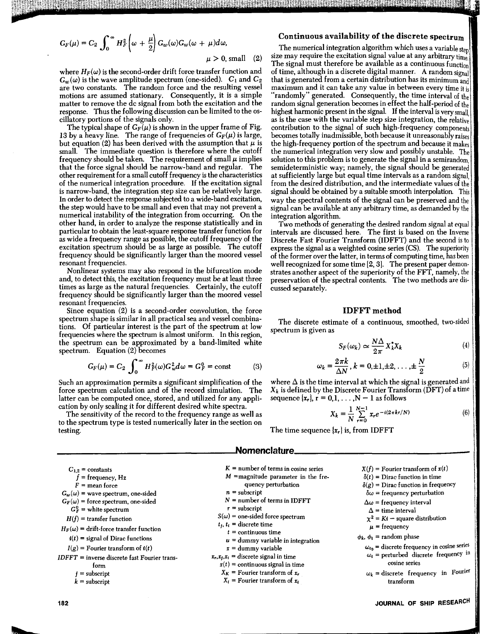$$
G_F(\mu) = C_2 \int_0^\infty H_F^2 \left( \omega + \frac{\mu}{2} \right) G_w(\omega) G_w(\omega + \mu) d\omega,
$$

 $\mu > 0$ , small (2)

where  $H_F(\omega)$  is the second-order drift force transfer function and  $G_w(\omega)$  is the wave amplitude spectrum (one-sided).  $C_1$  and  $C_2$ are two constants. The random force and the resulting vessel motions are assumed stationary. Consequently, it is a simple matter to remove the de signal from both the excitation and the response. Thus the following discussion can be limited to the oscillatory portions of the signals only.

The typical shape of  $G_F(\mu)$  is shown in the upper frame of Fig. 13 by a heavy line. The range of frequencies of  $G_F(\mu)$  is large, but equation (2) has been derived with the assumption that  $\mu$  is small. The immediate question is therefore where the cutoff frequency should be taken. The requirement of small  $\mu$  implies that the force signal should be narrow-band and regular. The other requirement for a small cutoff frequency is the characteristics of the numerical integration procedure. If the excitation signal is narrow-band, the integration step size can be relatively large. In order to detect the response subjected to a wide-band excitation, the step would have to be small and even that may not prevent a numerical instability of the integration from occurring. On the other hand, in order to analyze the response statistically and in particular to obtain the least-square response transfer function for as wide a frequency range as possible, the cutoff frequency of the excitation spectrum should be as large as possible. The cutoff frequency should be significantly larger than the moored vessel resonant frequencies.

Nonlinear systems may also respond in the bifurcation mode and, to detect this, the excitation frequency must be at least three times as large as the natural frequencies. Certainly, the cutoff frequency should be significantly larger than the moored vessel resonant frequencies.

Since equation (2) is a second-order convolution, the force spectrum shape is similar in all practical sea and vessel combinations. Of particular interest is the part of the spectrum at low frequencies where the spectrum is almost uniform. In this region, the spectrum can be approximated by a band-limited white spectrum. Equation (2) becomes

$$
G_F(\mu) = C_2 \int_0^\infty H_F^2(\omega) G_w^2 d\omega = G_F^0 = \text{const}
$$
 (3)

Such an approximation permits a significant simplification of the force spectrum calculation and of the record simulation. The latter can be computed once, stored, and utilized for any application by only scaling it for different desired white spectra.

The sensitivity of the record to the frequency range as well as to the spectrum type is tested numerically later in the section on testing.

# **Continuous availability of the discrete spectrum**

The numerical integration algorithm which uses a variable step size may require the excitation signal value at any arbitrary  $\lim_{h \to 0}$ The signal must therefore be available as a continuous function of time, although in a discrete digital manner. A random signal that is generated from a certain distribution has its minimum and maximum and it can take any value in between every time it is "randomly" generated. Consequently, the time interval of the random signal generation becomes in effect the half-period of the highest harmonic present in the signal. If the interval is very small as is the case with the variable step size integration, the relative contribution to the signal of such high-frequency components becomes totally inadmissible, both because it unreasonably raises the high-frequency portion of the spectrum and because it makes the numerical integration very slow and possibly unstable. The solution to this problem is to generate the signal in a semirandom, semideterministic way; namely, the signal should be generated at sufficiently large but equal time intervals as a random signal, from the desired distribution, and the intermediate values of the signal should be obtained by a suitable smooth interpolation. This way the spectral contents of the signal can be preserved and the signal can be available at any arbitrary time, as demanded by the integration algorithm.

Two methods of generating the desired random signal at equal intervals are discussed here. The first is based on the Inverse Discrete Fast Fourier Transform (IDFFT) and the second is to express the signal as a weighted cosine series (CS). The superiority of the former over the latter, in terms of computing time, has been well recognized for some time [2, 3]. The present paper demonstrates another aspect of the superiority of the FFT, namely, the preservation of the spectral contents. The two methods are discussed separately.

### **IDFFT method**

The discrete estimate of a continuous, smoothed, two-sided spectrum is given as

$$
S_F(\omega_k) \simeq \frac{N\Delta}{2\pi} X_k^* X_k \tag{4}
$$

$$
\omega_k = \frac{2\pi k}{\Delta N}, k = 0, \pm 1, \pm 2, \dots, \pm \frac{N}{2}
$$
 (5)

where  $\Delta$  is the time interval at which the signal is generated and  $X_k$  is defined by the Discrete Fourier Transform (DFT) of a time sequence  $\{x_r\}$ ,  $r = 0,1,..., N - 1$  as follows

$$
X_k = \frac{1}{N} \sum_{r=0}^{N-1} x_r e^{-i(2\pi kr/N)}
$$
(6)

The time sequence  $\{x_r\}$  is, from IDFFT

# **\_\_\_\_\_\_\_\_\_\_\_\_\_\_\_\_\_ .,omenclature·-----------------**

| $C_{1,2}$ = constants                          | $K =$ number of terms in cosine series                       | $X(f)$ = Fourier transform of $x(t)$                 |  |  |
|------------------------------------------------|--------------------------------------------------------------|------------------------------------------------------|--|--|
| $f = \text{frequency}, \text{Hz}$              | $M$ =magnitude parameter in the fre-                         | $\delta(t)$ = Dirac function in time                 |  |  |
| $F =$ mean force                               | quency perturbation                                          | $\delta(g)$ = Dirac function in frequency            |  |  |
| $G_w(\omega)$ = wave spectrum, one-sided       | $n =$ subscript                                              | $\delta\omega$ = frequency perturbation              |  |  |
| $G_F(\omega)$ = force spectrum, one-sided      | $N =$ number of terms in IDFFT                               | $\Delta\omega$ = frequency interval                  |  |  |
| $G_F^0$ = white spectrum                       | $r =$ subscript                                              | $\Delta$ = time interval                             |  |  |
| $H(f)$ = transfer function                     | $S(\omega)$ = one-sided force spectrum                       | $\chi^2 = Kt$ – square distribution                  |  |  |
| $H_F(\omega)$ = drift-force transfer function  | $t_i$ , $t_i$ = discrete time                                | $\mu$ = frequency                                    |  |  |
| $\mathbf{i}(t)$ = signal of Dirac functions    | $t =$ continuous time<br>$u =$ dummy variable in integration | $\phi_k$ , $\phi_i$ = random phase                   |  |  |
| $I(g)$ = Fourier transform of $i(t)$           | $x =$ dummy variable                                         | $\omega_{t_0}$ = discrete frequency in cosine series |  |  |
| $IDFFT = inverse discrete fast Fourier trans-$ | $x_r, x_j, x_i$ = discrete signal in time                    | $\omega_i$ = perturbed discrete frequency in         |  |  |
| torm                                           | $x(t)$ = continuous signal in time                           | cosine series                                        |  |  |
| $=$ subscript                                  | $X_K$ = Fourier transform of $x_r$                           | $\omega_k$ = discrete frequency in Fourier           |  |  |
| $k =$ subscript                                | $X_i$ = Fourier transform of $x_i$                           | transform                                            |  |  |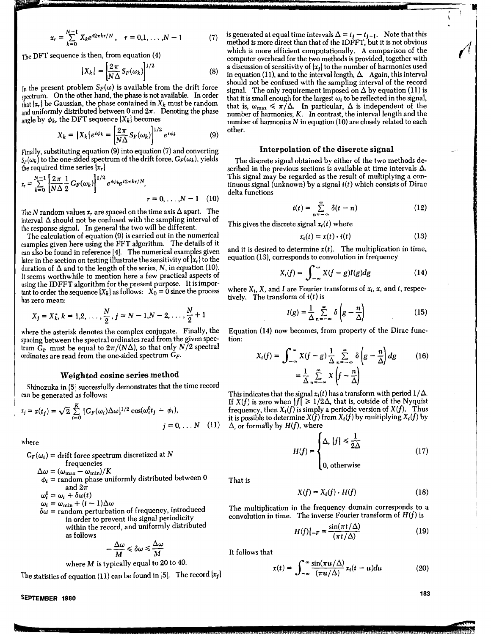$$
x_r = \sum_{k=0}^{N-1} X_k e^{i2\pi kr/N}, \quad r = 0, 1, ..., N-1 \tag{7}
$$

The OFT sequence is then, from equation (4)

$$
|X_k| = \left[\frac{2\pi}{N\Delta} S_F(\omega_k)\right]^{1/2} \tag{8}
$$

In the present problem  $S_F(\omega)$  is available from the drift force spectrum. On the other hand, the phase is not available. In order that  $\{x_r\}$  be Gaussian, the phase contained in  $X_k$  must be random and uniformly distributed between 0 and  $2\pi$ . Denoting the phase angle by  $\phi_k$ , the DFT sequence  $\{X_k\}$  becomes

$$
X_k = \left| X_k \right| e^{i\phi_k} = \left| \frac{2\pi}{N\Delta} S_F(\omega_k) \right|^{1/2} e^{i\phi_k} \tag{9}
$$

Finally, substituting equation (9) into equation (7) and converting  $S_F(\omega_k)$  to the one-sided spectrum of the drift force,  $G_F(\omega_k)$ , yields the required time series  $\{x_r\}$ 

$$
x_{r} = \sum_{k=0}^{N-1} \left[ \frac{2\pi}{N\Delta} \frac{1}{2} G_{F}(\omega_{k}) \right]^{1/2} e^{i\phi_{k}} e^{i2\pi kr/N},
$$
  

$$
r = 0, \ldots, N-1 \quad (10)
$$

The N random values  $x_r$  are spaced on the time axis  $\Delta$  apart. The interval  $\Delta$  should not be confused with the sampling interval of the response signal. In general the two will be different.

The calculation of equation (9) is carried out in the numerical examples given here using the FFT algorithm. The details of it can also be found in reference [4). The numerical examples given later in the section on testing illustrate the sensitivity of  $\{x_r\}$  to the duration of  $\Delta$  and to the length of the series, N, in equation (10). It seems worthwhile to mention here a few practical aspects of using the IDFFT algorithm for the present purpose. It is important to order the sequence  $\{X_k\}$  as follows:  $X_0 = 0$  since the process has zero mean:

$$
X_j = X_k, k = 1, 2, ..., \frac{N}{2}, j = N - 1, N - 2, ..., \frac{N}{2} + 1
$$

where the asterisk denotes the complex conjugate. Finally, the spacing between the spectral ordinates read from the given spectrum  $G_F$  must be equal to  $2\pi/(N\Delta)$ , so that only  $N/2$  spectral ordinates are read from the one-sided spectrum  $G_F$ .

# **Weighted cosine series method**

Shinozuka in [5) successfully demonstrates that the time record can be generated as follows:

$$
x_j = x(t_j) = \sqrt{2} \sum_{i=0}^{K} [G_F(\omega_i) \Delta \omega]^{1/2} \cos(\omega_i^0 t_j + \phi_i),
$$
  

$$
j = 0, \dots N \quad (11)
$$

where

 $G_F(\omega_i)$  = drift force spectrum discretized at N frequencies  $\Delta \omega = (\omega_{\text{max}} - \omega_{\text{min}})/K$ 

- $\phi_i$  = random phase uniformly distributed between 0 and  $2\pi$
- $\omega_i^0 = \omega_i + \delta \omega(t)$
- $\omega_i = \omega_{\min} + (i-1)\Delta\omega$
- $\delta\omega$  = random perturbation of frequency, introduced in order to prevent the signal periodicity within the record, and uniformly distributed as follows

$$
-\frac{\Delta \omega}{M} \leqslant \delta \omega \leqslant \frac{\Delta \omega}{M}
$$

where **M** is typically equal to 20 to 40.

The statistics of equation (11) can be found in [5]. The record  $\{x_j\}$ 

is generated at equal time intervals  $\Delta = t_1 - t_{1-1}$ . Note that this method is more direct than that of the IDFFT, but it is not obvious which is more efficient computationally. A comparison of the computer overhead for the two methods is provided, together with a discussion of sensitivity of  $\{x_i\}$  to the number of harmonics used in equation (11), and to the interval length,  $\Delta$ . Again, this interval should not be confused with the sampling interval of the record signal. The only requirement imposed on  $\Delta$  by equation (11) is that it is small enough for the largest  $\omega_i$  to be reflected in the signal, that is,  $\omega_{\text{max}} \leq \pi/\Delta$ . In particular,  $\Delta$  is independent of the number of harmonics, *K.* In contrast, the interval length and the number of harmonics  $N$  in equation (10) are closely related to each other.

## **Interpolation of the discrete signal**

The discrete signal obtained by either of the two methods described in the previous sections is available at time intervals  $\Delta$ . This signal may be regarded as the result of multiplying a continuous signal (unknown) by a signal **i(t)** which consists of Dirac delta functions

$$
i(t) = \sum_{n = -\infty}^{\infty} \delta(t - n)
$$
 (12)

This gives the discrete signal  $x_i(t)$  where

$$
x_i(t) = x(t) \cdot i(t) \tag{13}
$$

and it is desired to determine  $x(t)$ . The multiplication in time, equation (13), corresponds to convolution in frequency

$$
X_i(f) = \int_{-\infty}^{\infty} X(f - g)I(g)dg
$$
 (14)

where  $X_i$ ,  $X_j$ , and  $I_j$  are Fourier transforms of  $x_i$ ,  $x_j$ , and  $i_j$ , respectively. The transform of *i(t)* is

$$
I(g) = \frac{1}{\Delta} \sum_{n = -\infty}^{\infty} \delta \left( g - \frac{n}{\Delta} \right)
$$
 (15)

Equation (14) now becomes, from property of the Dirac function:

$$
X_i(f) = \int_{-\infty}^{\infty} X(f - g) \frac{1}{\Delta} \sum_{n=-\infty}^{\infty} \delta \left( g - \frac{n}{\Delta} \right) dg \qquad (16)
$$

$$
= \frac{1}{\Delta} \sum_{n=-\infty}^{\infty} X \left( f - \frac{n}{\Delta} \right)
$$

This indicates that the signal  $x_i(t)$  has a transform with period  $1/\Delta$ . If  $X(f)$  is zero when  $|f| \geq 1/2\Delta$ , that is, outside of the Nyquist frequency, then  $X_i(f)$  is simply a periodic version of  $X(f)$ . Thus it is possible to determine  $X(f)$  from  $X_i(f)$  by multiplying  $X_i(f)$  by  $\Delta$ , or formally by  $H(f)$ , where

$$
H(f) = \begin{cases} \Delta, |f| \le \frac{1}{2\Delta} \\ 0, \text{ otherwise} \end{cases}
$$
 (17)

That is

$$
X(f) = X_i(f) \cdot H(f) \tag{18}
$$

The multiplication in the frequency domain corresponds to a convolution in time. The inverse Fourier transform of  $H(f)$  is

$$
H(f)|_{-F} = \frac{\sin(\pi t/\Delta)}{(\pi t/\Delta)}\tag{19}
$$

It follows that

$$
x(t) = \int_{-\infty}^{\infty} \frac{\sin(\pi u/\Delta)}{(\pi u/\Delta)} x_t(t-u) du \qquad (20)
$$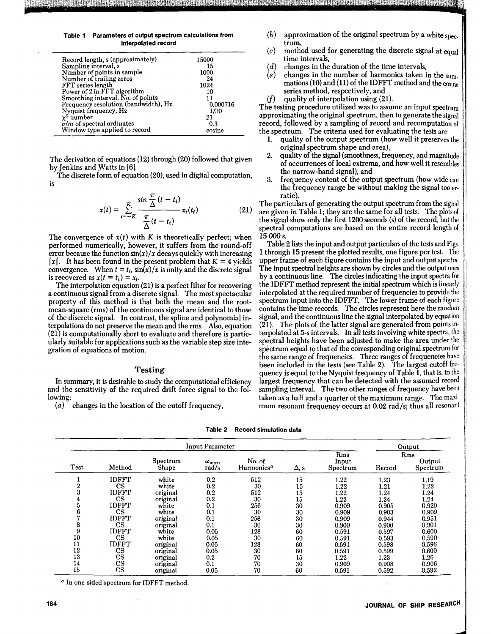**Table 1 Parameters of output spectrum calculations from Interpolated record** 

| Record length, s (approximately)     | 15000    |
|--------------------------------------|----------|
| Sampling interval, s                 | 15       |
| Number of points in sample           | 1000     |
| Number of trailing zeros             | 24       |
| FFT series length                    | 1024     |
| Power of 2 in FFT algorithm          | 10       |
| Smoothing interval, No. of points    | 11       |
| Frequency resolution (bandwidth), Hz | 0.000716 |
| Nyquist frequency, Hz                | 1/30     |
| $x^2$ number                         | 21       |
| $\sigma/m$ of spectral ordinates     | 0.3      |
| Window type applied to record        | cosine   |
|                                      |          |

The derivation of equations (12) through (20) followed that given by Jenkins and Watts in [6].

The discrete form of equation (20), used in digital computation, is

$$
x(t) = \sum_{i=-K}^{K} \frac{\sin \frac{\pi}{\Delta} (t - t_i)}{\frac{\pi}{\Delta} (t - t_i)} x_i(t_i)
$$
 (21)

The convergence of  $x(t)$  with K is theoretically perfect; when performed numerically, however, it suffers from the round-off error because the function  $sin(x)/x$  decays quickly with increasing |x|. It has been found in the present problem that  $K = 4$  yields convergence. When  $t = t_i$ ,  $\sin(x)/x$  is unity and the discrete signal is recovered as  $x(t = t_i) = x_i$ .

The interpolation equation (21) is a perfect filter for recovering a continuous signal from a discrete signal. The most spectacular property of this method is that both the mean and the rootmean-square (rms) of the continuous signal are identical to those of the discrete signal. In contrast, the spline and polynomial interpolations do not preserve the mean and the rrns. Also, equation (21) is computationally short to evaluate and therefore is particularly suitable for applications such as the variable step size integration of equations of motion.

### **Testing**

In summary, it is desirable to study the computational efficiency and the sensitivity of the required drift force signal to the following:

(a) changes in the location of the cutoff frequency,

- (b) approximation of the original spectrum by a white spectrum,
- $(c)$  method used for generating the discrete signal at equal time intervals,
- (d) changes in the duration of the time intervals,  $(e)$  changes in the number of harmonics taken i
- changes in the number of harmonics taken in the summations (10) and (11) of the IDFFT method and the cosine series method, respectively, and
- $(f)$  quality of interpolation using  $(21)$ .

The testing procedure utilized was to assume an input spectrum approximating the original spectrum, then to generate the signal record, followed by a sampling of record and recomputation of the spectrum. The criteria used for evaluating the tests are

- quality of the output spectrum (how well it preserves the original spectrum shape and area),
- 2. quality of the signal (smoothness, frequency, and magnitude of occurrences of local extrema, and how well it resembles the narrow-band signal), and
- 3. frequency content of the output spectrum (how wide can the frequency range be without making the signal too erratic).

The particulars of generating the output spectrum from the signal are given in Table **l;** they are the same for all tests. The plots of the signal show only the first 1200 seconds (s) of the record, but the spectral computations are based on the entire record length of 15 000 s.

Table 2 lists the input and output particulars of the tests and Figs. 1 through 15 present the plotted results, one figure per test. The upper frame of each figure contains the input and output spectra. The input spectral heights are shown by circles and the output ones by a continuous line. The circles indicating the input spectra for the IDFFT method represent the initial spectrum which is linearly interpolated at the required number of frequencies to provide the spectrum input into the IDFFT. The lower frame of each figure contains the time records. The circles represent here the random signal, and the continuous line the signal interpolated by equation (21). The plots of the latter signal are generated from points interpolated at 5-s intervals. In all tests involving white spectra, the spectral heights have been adjusted to make the area under the spectrum equal to that of the corresponding original spectrum for the same range of frequencies. Three ranges of frequencies have been included in the tests (see Table 2). The largest cutoff frequency is equal to the Nyquist frequency of Table 1, that is, to the largest frequency that can be detected with the assumed record sampling interval. The two other ranges of frequency have been taken as a half and a quarter of the maximum range. The maximum resonant frequency occurs at 0.02 rad/s; thus all resonant

|      | Input Parameter        |                   |                                |                                  |      |                          | Output |                           |
|------|------------------------|-------------------|--------------------------------|----------------------------------|------|--------------------------|--------|---------------------------|
| Test | Method                 | Spectrum<br>Shape | $\omega_{\text{max}}$<br>rad/s | No. of<br>Harmonics <sup>a</sup> | Δ, s | Rms<br>Input<br>Spectrum | Record | Rms<br>Output<br>Spectrum |
|      | <b>IDFFT</b>           | white             | 0.2                            | 512                              | 15   | 1.22                     | 1.23   | 1.19                      |
| 2    | <b>CS</b>              | white             | 0.2                            | 30                               | 15   | 1.22                     | 1.21   | 1.22                      |
| 3    | IDFFT                  | original          | 0.2                            | 512                              | 15   | 1.22                     | 1,24   | 1.24                      |
| 4    | <b>CS</b>              | original          | 0.2                            | 30                               | 15   | 1.22                     | 1.24   | 1.24                      |
| 5    | <b>IDFFT</b>           | white             | 0.1                            | 256                              | 30   | 0.909                    | 0.905  | 0.920                     |
| 6    | $\mathbf{CS}$          | white             | 0.1                            | 30                               | 30   | 0.909                    | 0.903  | 0.909                     |
| 7    | <b>IDFFT</b>           | original          | 0.1                            | 256                              | 30   | 0.909                    | 0.944  | 0.951                     |
| 8    | <b>CS</b>              | original          | 0.1                            | 30                               | 30   | 0.909                    | 0.900  | 0.901                     |
| 9    | <b>IDFFT</b>           | white             | 0.05                           | 128                              | 60   | 0.591                    | 0.597  | 0.600                     |
| 10   | CS                     | white             | 0.05                           | 30                               | 60   | 0.591                    | 0.593  | 0.590                     |
| 11   | <b>IDFFT</b>           | original          | 0.05                           | 128                              | 60   | 0.591                    | 0.598  | 0.596                     |
| 12   | $_{\rm CS}$            | original          | 0.05                           | 30                               | 60   | 0.591                    | 0.599  | 0.600                     |
| 13   | $_{\rm CS}$            | original          | 0.2                            | 70                               | 15   | 1.22                     | 1.23   | 1.26                      |
| 14   | $\mathbf{c}\mathbf{s}$ | original          | 0.1                            | 70                               | 30   | 0.909                    | 0.908  | 0.906                     |
| 15   | $_{\rm CS}$            | original          | 0.05                           | 70                               | 60   | 0.591                    | 0.592  | 0.592                     |

**Table 2 Record simulation data** 

*<sup>a</sup>*In one-sided spectrum for IDFFT method.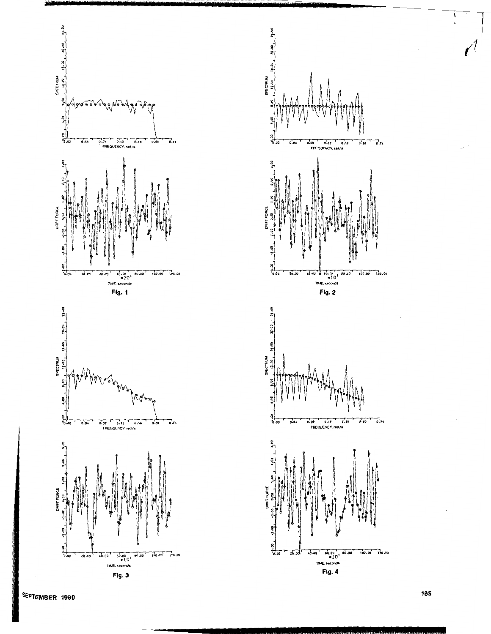

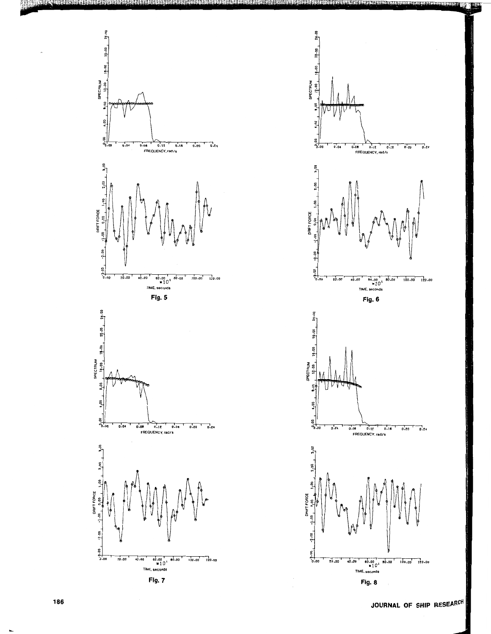



**JOURNAL OF SHIP RESEARCH**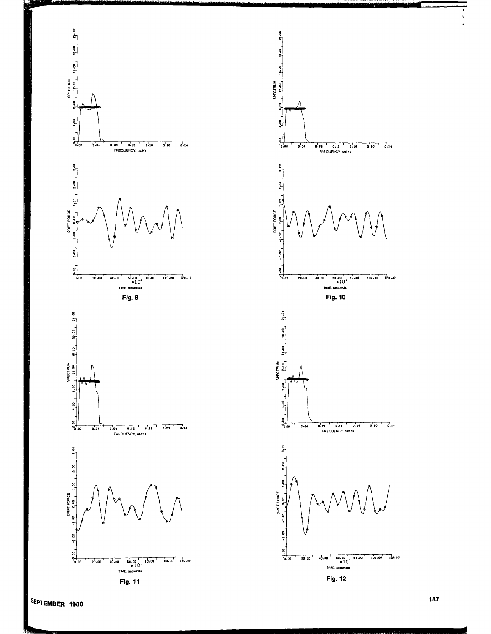

Fig. 11



 $\frac{1}{2}$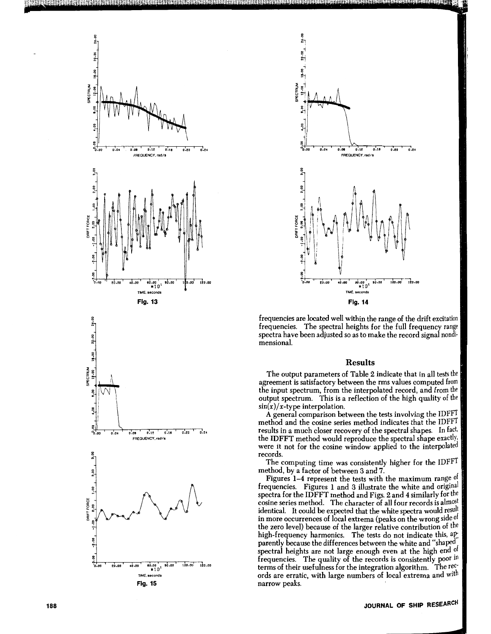



frequencies are located well within the range of the drift excitation frequencies. The spectral heights for the full frequency range spectra have been adjusted so as to make the record signal nondimensional.

## **Results**

The output parameters of Table 2 indicate that in all tests the agreement is satisfactory between the rms values computed from the input spectrum, from the interpolated record, and from the output spectrum. This is a reflection of the high quality of the  $\sin(x)/x$ -type interpolation.

A general comparison between the tests involving the IDFFT method and the cosine series method indicates that the IDFFT results in a much closer recovery of the spectral shapes. In fact, the IDFFT method would reproduce the spectral shape exactly, were it not for the cosine window applied to the interpolated records.

The computing time was consistently higher for the IDFFT method, by a factor of between 3 and 7.

Figures 1-4 represent the tests with the maximum range  $0^{\dagger}$ . frequencies. Figures **l** and 3 illustrate the white and original spectra for the IDFFT method and Figs. 2 and 4 similarly for the cosine series method. The character of all four records is almost identical. It could be expected that the white spectra would result in more occurrences of local extrema (peaks on the wrong side of the zero level) because of the larger relative contribution of the high-frequency harmonics. The tests do not indicate this,  $a_{i}^{D}$ ; parently because the differences between the white and "shaped spectral heights are not large enough even at the high end of frequencies. The quality of the records is consistently poor in terms of their usefulness for the integration algorithm. The records are erratic, with large numbers of local extrema and wit narrow peaks.